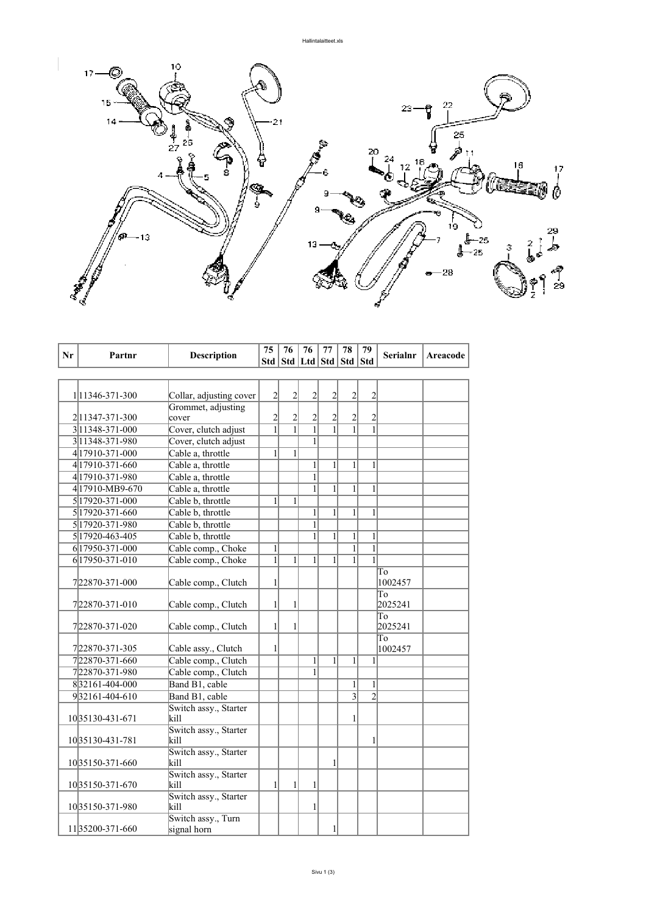

|    |                      |                               | 75             | 76             | 76                          | 77             | 78             | 79             |                 |          |
|----|----------------------|-------------------------------|----------------|----------------|-----------------------------|----------------|----------------|----------------|-----------------|----------|
| Nr | Partnr               | <b>Description</b>            | Std            |                | Std   Ltd   Std   Std   Std |                |                |                | <b>Serialnr</b> | Areacode |
|    |                      |                               |                |                |                             |                |                |                |                 |          |
|    |                      |                               |                |                |                             |                |                |                |                 |          |
|    | 1 11346-371-300      | Collar, adjusting cover       | $\overline{c}$ | $\overline{c}$ | $\overline{2}$              | $\overline{2}$ | $\overline{2}$ | $\overline{2}$ |                 |          |
|    |                      | Grommet, adjusting            |                |                |                             |                |                |                |                 |          |
|    | 2 1347-371-300       | cover                         | $\overline{c}$ | $\overline{c}$ | $\overline{c}$              | $\overline{c}$ | 2              | $\overline{2}$ |                 |          |
|    | 3 1348-371-000       | Cover, clutch adjust          | $\mathbf{1}$   | $\overline{1}$ | $\overline{1}$              | $\overline{1}$ | $\mathbf{1}$   |                |                 |          |
|    | 311348-371-980       | Cover, clutch adjust          |                |                | 1                           |                |                |                |                 |          |
|    | 4 179 10 - 371 - 000 | Cable a, throttle             | 1              | 1              |                             |                |                |                |                 |          |
|    | 4 179 10 - 371 - 660 | Cable a, throttle             |                |                | $\mathbf{1}$                | $\mathbf{1}$   | $\mathbf{1}$   | 1              |                 |          |
|    | 4 179 10 - 371 - 980 | Cable a, throttle             |                |                | $\mathbf{1}$                |                |                |                |                 |          |
|    | 417910-MB9-670       | Cable a, throttle             |                |                | $\mathbf{1}$                | $\mathbf{1}$   | $\mathbf{1}$   | $\mathbf{1}$   |                 |          |
|    | 5 179 20 - 371 - 000 | Cable b, throttle             | 1              | 1              |                             |                |                |                |                 |          |
|    | 5 17920-371-660      | Cable b, throttle             |                |                | $\mathbf{1}$                | 1              | 1              | 1              |                 |          |
|    | 5 179 20 - 371 - 980 | Cable b, throttle             |                |                | $\mathbf{1}$                |                |                |                |                 |          |
|    | 5 179 20 - 463 - 405 | Cable b, throttle             |                |                | $\mathbf{1}$                | $\mathbf{1}$   | 1              | $\mathbf{1}$   |                 |          |
|    | 6 17950-371-000      | Cable comp., Choke            | $\mathbf{1}$   |                |                             |                | 1              | $\mathbf{1}$   |                 |          |
|    | 6 17950-371-010      | Cable comp., Choke            | $\mathbf{1}$   | 1              | 1                           | $\mathbf{1}$   | 1              | $\mathbf{1}$   |                 |          |
|    |                      |                               |                |                |                             |                |                |                | To              |          |
|    | 722870-371-000       | Cable comp., Clutch           | $\mathbf{1}$   |                |                             |                |                |                | 1002457         |          |
|    |                      |                               |                |                |                             |                |                |                | Tо              |          |
|    | 722870-371-010       | Cable comp., Clutch           | $\mathbf{1}$   | 1              |                             |                |                |                | 2025241         |          |
|    |                      |                               |                |                |                             |                |                |                | To              |          |
|    | 722870-371-020       | Cable comp., Clutch           | $\mathbf{1}$   | 1              |                             |                |                |                | 2025241         |          |
|    |                      |                               |                |                |                             |                |                |                | To              |          |
|    | 722870-371-305       | Cable assy., Clutch           | 1              |                |                             | $\mathbf{1}$   | $\mathbf{1}$   |                | 1002457         |          |
|    | 722870-371-660       | Cable comp., Clutch           |                |                | $\mathbf{1}$                |                |                | 1              |                 |          |
|    | 722870-371-980       | Cable comp., Clutch           |                |                | 1                           |                |                |                |                 |          |
|    | 832161-404-000       | Band B1, cable                |                |                |                             |                | 1              | $\mathbf{1}$   |                 |          |
|    | 932161-404-610       | Band B1, cable                |                |                |                             |                | $\overline{3}$ | $\overline{2}$ |                 |          |
|    |                      | Switch assy., Starter         |                |                |                             |                |                |                |                 |          |
|    | 10 35130-431-671     | kill                          |                |                |                             |                | 1              |                |                 |          |
|    | 1035130-431-781      | Switch assy., Starter<br>kill |                |                |                             |                |                | 1              |                 |          |
|    |                      | Switch assy., Starter         |                |                |                             |                |                |                |                 |          |
|    | 1035150-371-660      | kill                          |                |                |                             | $\mathbf{1}$   |                |                |                 |          |
|    |                      | Switch assy., Starter         |                |                |                             |                |                |                |                 |          |
|    | 10 35150-371-670     | kill                          | $\mathbf{1}$   | 1              | 1                           |                |                |                |                 |          |
|    |                      | Switch assy., Starter         |                |                |                             |                |                |                |                 |          |
|    | 1035150-371-980      | kill                          |                |                | 1                           |                |                |                |                 |          |
|    |                      | Switch assy., Turn            |                |                |                             |                |                |                |                 |          |
|    | 1135200-371-660      | signal horn                   |                |                |                             | 1              |                |                |                 |          |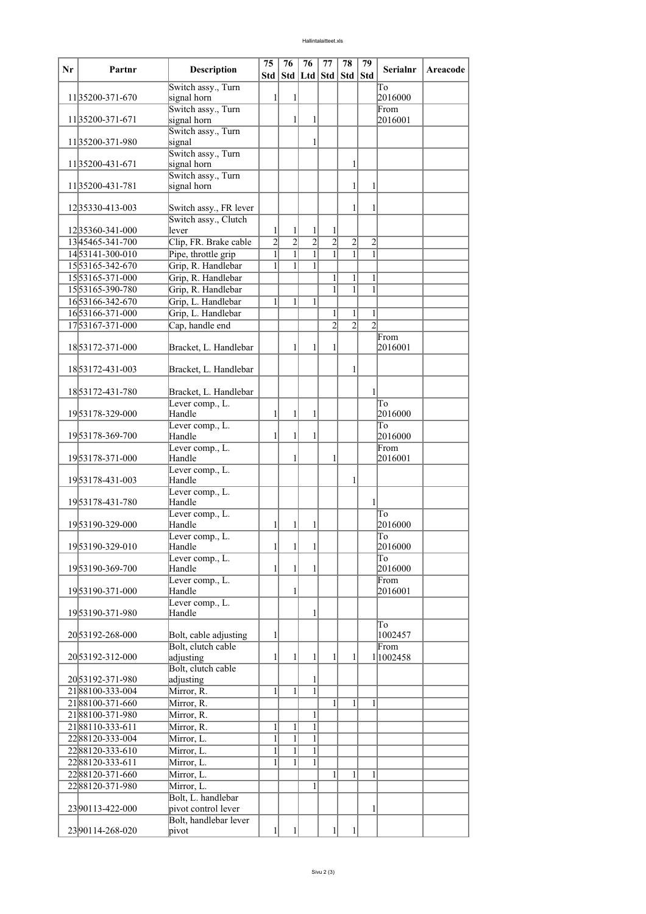| Nr | Partnr               | Description                       | 75             | 76             | 76               | 77                    | 78             | 79             | <b>Serialnr</b> | <b>Areacode</b> |
|----|----------------------|-----------------------------------|----------------|----------------|------------------|-----------------------|----------------|----------------|-----------------|-----------------|
|    |                      |                                   | Std            |                |                  | Std   Ltd   Std   Std |                | <b>Std</b>     |                 |                 |
|    | 1135200-371-670      | Switch assy., Turn                |                |                |                  |                       |                |                | To              |                 |
|    |                      | signal horn<br>Switch assy., Turn | 1              | $\mathbf{1}$   |                  |                       |                |                | 2016000<br>From |                 |
|    | 1135200-371-671      | signal horn                       |                | $\mathbf{1}$   | 1                |                       |                |                | 2016001         |                 |
|    |                      | Switch assy., Turn                |                |                |                  |                       |                |                |                 |                 |
|    | 1135200-371-980      | signal                            |                |                | 1                |                       |                |                |                 |                 |
|    |                      | Switch assy., Turn                |                |                |                  |                       |                |                |                 |                 |
|    | 1135200-431-671      | signal horn                       |                |                |                  |                       | 1              |                |                 |                 |
|    |                      | Switch assy., Turn                |                |                |                  |                       |                |                |                 |                 |
|    | 11 35200-431-781     | signal horn                       |                |                |                  |                       | 1              | 1              |                 |                 |
|    | 1235330-413-003      | Switch assy., FR lever            |                |                |                  |                       | $\mathbf{1}$   | 1              |                 |                 |
|    |                      | Switch assy., Clutch              |                |                |                  |                       |                |                |                 |                 |
|    | 1235360-341-000      | lever                             | 1              | $\mathbf{1}$   | $\mathbf{1}$     | 1                     |                |                |                 |                 |
|    | 1345465-341-700      | Clip, FR. Brake cable             | $\overline{2}$ | $\overline{2}$ | $\overline{2}$   | $\overline{2}$        | $\overline{c}$ | $\overline{2}$ |                 |                 |
|    | 1453141-300-010      | Pipe, throttle grip               | 1              | $\mathbf{1}$   | $\mathbf{1}$     | $\mathbf{1}$          | $\mathbf{1}$   | $\mathbf{1}$   |                 |                 |
|    | 1553165-342-670      | Grip, R. Handlebar                | 1              | 1              | 1                |                       |                |                |                 |                 |
|    | 1553165-371-000      | Grip, R. Handlebar                |                |                |                  | $\mathbf{1}$          | 1              | $\mathbf{1}$   |                 |                 |
|    | 1553165-390-780      | Grip, R. Handlebar                |                |                |                  | $\mathbf{1}$          | $\mathbf{1}$   | $\mathbf{1}$   |                 |                 |
|    | 1653166-342-670      | Grip, L. Handlebar                | 1              | 1              | 1                |                       |                |                |                 |                 |
|    | 1653166-371-000      | Grip, L. Handlebar                |                |                |                  | 1                     | 1              | $\mathbf{1}$   |                 |                 |
|    | 1753167-371-000      | Cap, handle end                   |                |                |                  | $\overline{2}$        | $\overline{c}$ | $\mathfrak{D}$ |                 |                 |
|    |                      |                                   |                |                |                  |                       |                |                | From            |                 |
|    | 1853172-371-000      | Bracket, L. Handlebar             |                | $\mathbf{1}$   | 1                | 1                     |                |                | 2016001         |                 |
|    | 1853172-431-003      | Bracket, L. Handlebar             |                |                |                  |                       | 1              |                |                 |                 |
|    |                      |                                   |                |                |                  |                       |                |                |                 |                 |
|    | 1853172-431-780      | Bracket, L. Handlebar             |                |                |                  |                       |                | $\mathbf{1}$   |                 |                 |
|    |                      | Lever comp., L.                   |                |                |                  |                       |                |                | To              |                 |
|    | 1953178-329-000      | Handle                            | 1              | 1              | 1                |                       |                |                | 2016000         |                 |
|    |                      | Lever comp., L.                   |                |                |                  |                       |                |                | To              |                 |
|    | 1953178-369-700      | Handle                            | 1              | $\mathbf{1}$   | 1                |                       |                |                | 2016000         |                 |
|    | 1953178-371-000      | Lever comp., L.<br>Handle         |                | $\mathbf{1}$   |                  | 1                     |                |                | From<br>2016001 |                 |
|    |                      | Lever comp., L.                   |                |                |                  |                       |                |                |                 |                 |
|    | 1953178-431-003      | Handle                            |                |                |                  |                       | 1              |                |                 |                 |
|    |                      | Lever comp., L.                   |                |                |                  |                       |                |                |                 |                 |
|    | 1953178-431-780      | Handle                            |                |                |                  |                       |                | $\mathbf{1}$   |                 |                 |
|    |                      | Lever comp., L.                   |                |                |                  |                       |                |                | To              |                 |
|    | 1953190-329-000      | Handle                            | 1              | 1              | 1                |                       |                |                | 2016000         |                 |
|    | 1953190-329-010      | Lever comp., L.<br>Handle         | $\frac{1}{2}$  | $\frac{1}{2}$  | $\left  \right $ |                       |                |                | To<br>2016000   |                 |
|    |                      | Lever comp., L.                   |                |                |                  |                       |                |                | To              |                 |
|    | 1953190-369-700      | Handle                            | $\mathbf{1}$   | $\mathbf{1}$   | 1                |                       |                |                | 2016000         |                 |
|    |                      | Lever comp., L.                   |                |                |                  |                       |                |                | From            |                 |
|    | 1953190-371-000      | Handle                            |                | 1              |                  |                       |                |                | 2016001         |                 |
|    |                      | Lever comp., L.                   |                |                |                  |                       |                |                |                 |                 |
|    | 1953190-371-980      | Handle                            |                |                | 1                |                       |                |                |                 |                 |
|    | 20 53192-268-000     | Bolt, cable adjusting             | 1              |                |                  |                       |                |                | To<br>1002457   |                 |
|    |                      | Bolt, clutch cable                |                |                |                  |                       |                |                | From            |                 |
|    | 20 53192 - 312 - 000 | adjusting                         | 1              | $\mathbf{1}$   | 1                | $\mathbf{1}$          | 1              |                | 1 1002458       |                 |
|    |                      | Bolt, clutch cable                |                |                |                  |                       |                |                |                 |                 |
|    | 2053192-371-980      | adjusting                         |                |                | 1                |                       |                |                |                 |                 |
|    | 2188100-333-004      | Mirror, R.                        | 1              | $\mathbf{1}$   | $\mathbf{1}$     |                       |                |                |                 |                 |
|    | 2188100-371-660      | Mirror, R.                        |                |                |                  | $\mathbf{1}$          | $\mathbf{1}$   | 1              |                 |                 |
|    | 2188100-371-980      | Mirror, R.                        |                |                | 1                |                       |                |                |                 |                 |
|    | 2188110-333-611      | Mirror, R.                        | 1              | 1              | $\mathbf{1}$     |                       |                |                |                 |                 |
|    | 2288120-333-004      | Mirror, L.                        | $\overline{1}$ | $\overline{1}$ | $\overline{1}$   |                       |                |                |                 |                 |
|    | 2288120-333-610      | Mirror, L.                        | $\mathbf{1}$   | $\mathbf{1}$   | $\mathbf{1}$     |                       |                |                |                 |                 |
|    | 2288120-333-611      | Mirror, L.                        | 1              | 1              | 1                |                       |                |                |                 |                 |
|    | 2288120-371-660      | Mirror, L.                        |                |                |                  | 1                     | $\mathbf{1}$   | $\mathbf{1}$   |                 |                 |
|    | 2288120-371-980      | Mirror, L.<br>Bolt, L. handlebar  |                |                | 1                |                       |                |                |                 |                 |
|    | 2390113-422-000      | pivot control lever               |                |                |                  |                       |                | 1              |                 |                 |
|    |                      | Bolt, handlebar lever             |                |                |                  |                       |                |                |                 |                 |
|    | 2390114-268-020      | pivot                             |                |                |                  |                       |                |                |                 |                 |